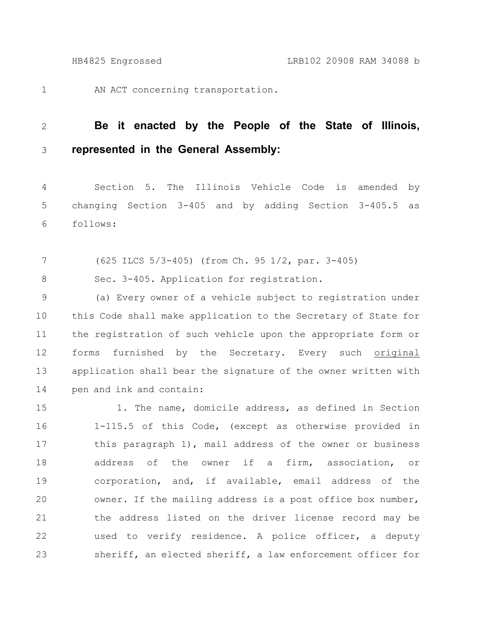1

AN ACT concerning transportation.

## **Be it enacted by the People of the State of Illinois, represented in the General Assembly:** 2 3

Section 5. The Illinois Vehicle Code is amended by changing Section 3-405 and by adding Section 3-405.5 as follows: 4 5 6

(625 ILCS 5/3-405) (from Ch. 95 1/2, par. 3-405) 7

Sec. 3-405. Application for registration. 8

(a) Every owner of a vehicle subject to registration under this Code shall make application to the Secretary of State for the registration of such vehicle upon the appropriate form or forms furnished by the Secretary. Every such original application shall bear the signature of the owner written with pen and ink and contain: 9 10 11 12 13 14

1. The name, domicile address, as defined in Section 1-115.5 of this Code, (except as otherwise provided in this paragraph 1), mail address of the owner or business address of the owner if a firm, association, or corporation, and, if available, email address of the owner. If the mailing address is a post office box number, the address listed on the driver license record may be used to verify residence. A police officer, a deputy sheriff, an elected sheriff, a law enforcement officer for 15 16 17 18 19 20 21 22 23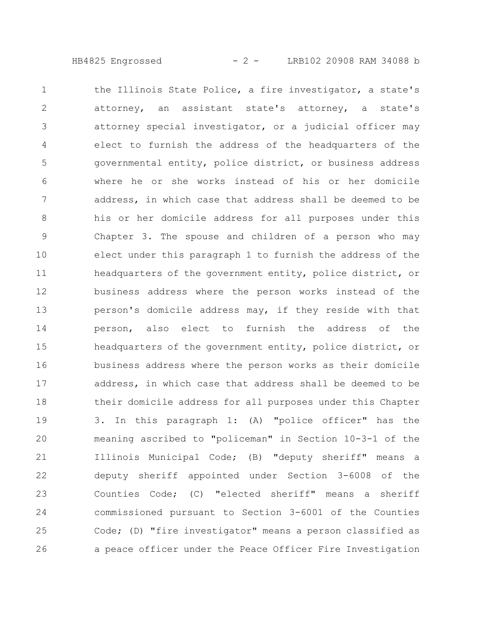HB4825 Engrossed - 2 - LRB102 20908 RAM 34088 b

the Illinois State Police, a fire investigator, a state's attorney, an assistant state's attorney, a state's attorney special investigator, or a judicial officer may elect to furnish the address of the headquarters of the governmental entity, police district, or business address where he or she works instead of his or her domicile address, in which case that address shall be deemed to be his or her domicile address for all purposes under this Chapter 3. The spouse and children of a person who may elect under this paragraph 1 to furnish the address of the headquarters of the government entity, police district, or business address where the person works instead of the person's domicile address may, if they reside with that person, also elect to furnish the address of the headquarters of the government entity, police district, or business address where the person works as their domicile address, in which case that address shall be deemed to be their domicile address for all purposes under this Chapter 3. In this paragraph 1: (A) "police officer" has the meaning ascribed to "policeman" in Section 10-3-1 of the Illinois Municipal Code; (B) "deputy sheriff" means a deputy sheriff appointed under Section 3-6008 of the Counties Code; (C) "elected sheriff" means a sheriff commissioned pursuant to Section 3-6001 of the Counties Code; (D) "fire investigator" means a person classified as a peace officer under the Peace Officer Fire Investigation 1 2 3 4 5 6 7 8 9 10 11 12 13 14 15 16 17 18 19 20 21 22 23 24 25 26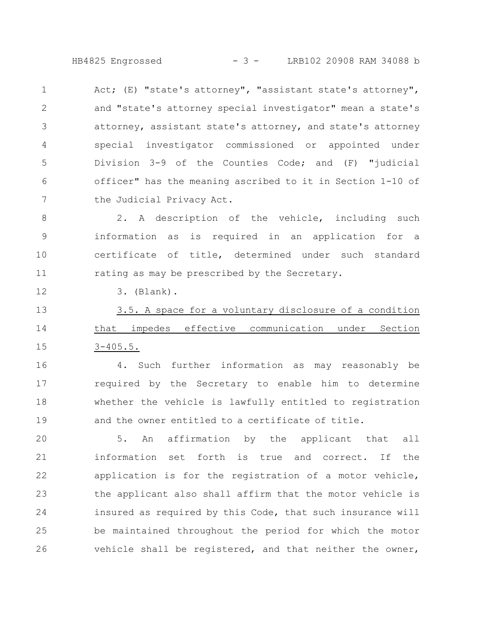HB4825 Engrossed - 3 - LRB102 20908 RAM 34088 b

Act; (E) "state's attorney", "assistant state's attorney", and "state's attorney special investigator" mean a state's attorney, assistant state's attorney, and state's attorney special investigator commissioned or appointed under Division 3-9 of the Counties Code; and (F) "judicial officer" has the meaning ascribed to it in Section 1-10 of the Judicial Privacy Act. 1 2 3 4 5 6 7

2. A description of the vehicle, including such information as is required in an application for a certificate of title, determined under such standard rating as may be prescribed by the Secretary. 8 9 10 11

3. (Blank).

12

3.5. A space for a voluntary disclosure of a condition that impedes effective communication under Section 3-405.5. 13 14 15

4. Such further information as may reasonably be required by the Secretary to enable him to determine whether the vehicle is lawfully entitled to registration and the owner entitled to a certificate of title. 16 17 18 19

5. An affirmation by the applicant that all information set forth is true and correct. If the application is for the registration of a motor vehicle, the applicant also shall affirm that the motor vehicle is insured as required by this Code, that such insurance will be maintained throughout the period for which the motor vehicle shall be registered, and that neither the owner, 20 21 22 23 24 25 26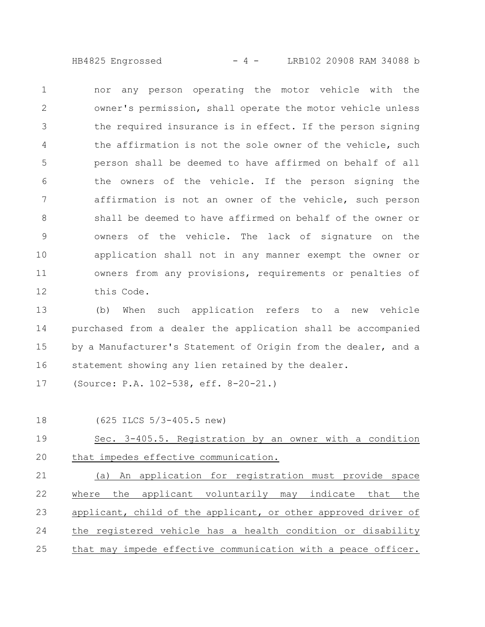HB4825 Engrossed - 4 - LRB102 20908 RAM 34088 b

nor any person operating the motor vehicle with the owner's permission, shall operate the motor vehicle unless the required insurance is in effect. If the person signing the affirmation is not the sole owner of the vehicle, such person shall be deemed to have affirmed on behalf of all the owners of the vehicle. If the person signing the affirmation is not an owner of the vehicle, such person shall be deemed to have affirmed on behalf of the owner or owners of the vehicle. The lack of signature on the application shall not in any manner exempt the owner or owners from any provisions, requirements or penalties of this Code. 1 2 3 4 5 6 7 8 9 10 11 12

(b) When such application refers to a new vehicle purchased from a dealer the application shall be accompanied by a Manufacturer's Statement of Origin from the dealer, and a statement showing any lien retained by the dealer. 13 14 15 16

(Source: P.A. 102-538, eff. 8-20-21.) 17

18

(625 ILCS 5/3-405.5 new)

Sec. 3-405.5. Registration by an owner with a condition that impedes effective communication. 19 20

(a) An application for registration must provide space where the applicant voluntarily may indicate that the applicant, child of the applicant, or other approved driver of the registered vehicle has a health condition or disability that may impede effective communication with a peace officer. 21 22 23 24 25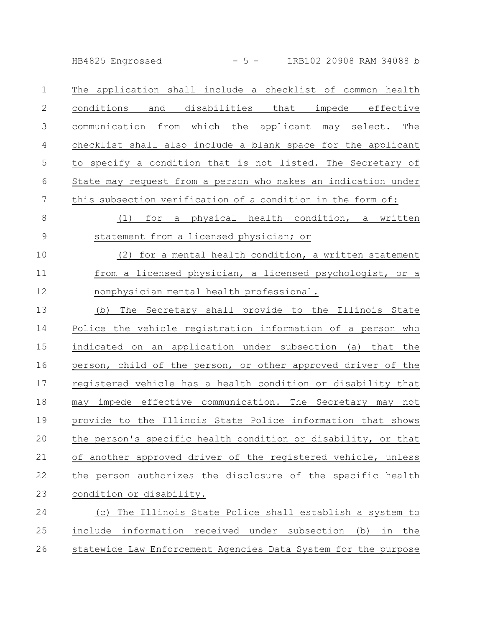HB4825 Engrossed - 5 - LRB102 20908 RAM 34088 b

The application shall include a checklist of common health conditions and disabilities that impede effective communication from which the applicant may select. The checklist shall also include a blank space for the applicant to specify a condition that is not listed. The Secretary of State may request from a person who makes an indication under this subsection verification of a condition in the form of: 1 2 3 4 5 6 7

(1) for a physical health condition, a written statement from a licensed physician; or 8 9

(2) for a mental health condition, a written statement from a licensed physician, a licensed psychologist, or a nonphysician mental health professional. 10 11 12

(b) The Secretary shall provide to the Illinois State Police the vehicle registration information of a person who indicated on an application under subsection (a) that the person, child of the person, or other approved driver of the registered vehicle has a health condition or disability that may impede effective communication. The Secretary may not provide to the Illinois State Police information that shows the person's specific health condition or disability, or that of another approved driver of the registered vehicle, unless the person authorizes the disclosure of the specific health condition or disability. 13 14 15 16 17 18 19 20 21 22 23

(c) The Illinois State Police shall establish a system to include information received under subsection (b) in the statewide Law Enforcement Agencies Data System for the purpose 24 25 26